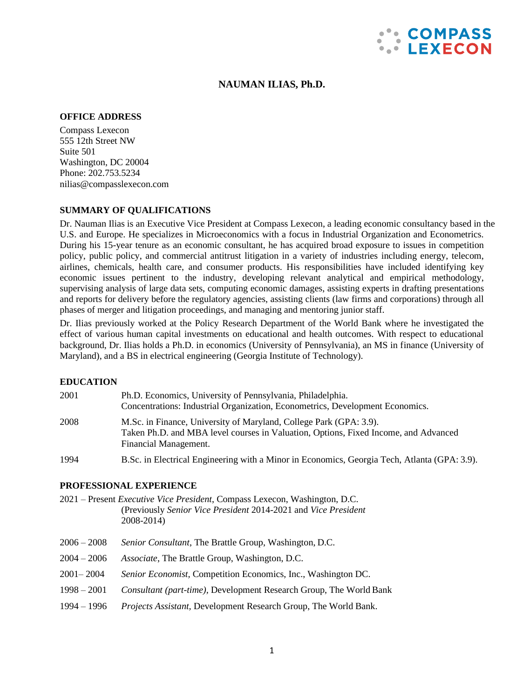

### **NAUMAN ILIAS, Ph.D.**

#### **OFFICE ADDRESS**

Compass Lexecon 555 12th Street NW Suite 501 Washington, DC 20004 Phone: 202.753.5234 [nilias@compasslexecon.com](mailto:nilias@compasslexecon.com)

### **SUMMARY OF QUALIFICATIONS**

Dr. Nauman Ilias is an Executive Vice President at Compass Lexecon, a leading economic consultancy based in the U.S. and Europe. He specializes in Microeconomics with a focus in Industrial Organization and Econometrics. During his 15-year tenure as an economic consultant, he has acquired broad exposure to issues in competition policy, public policy, and commercial antitrust litigation in a variety of industries including energy, telecom, airlines, chemicals, health care, and consumer products. His responsibilities have included identifying key economic issues pertinent to the industry, developing relevant analytical and empirical methodology, supervising analysis of large data sets, computing economic damages, assisting experts in drafting presentations and reports for delivery before the regulatory agencies, assisting clients (law firms and corporations) through all phases of merger and litigation proceedings, and managing and mentoring junior staff.

Dr. Ilias previously worked at the Policy Research Department of the World Bank where he investigated the effect of various human capital investments on educational and health outcomes. With respect to educational background, Dr. Ilias holds a Ph.D. in economics (University of Pennsylvania), an MS in finance (University of Maryland), and a BS in electrical engineering (Georgia Institute of Technology).

### **EDUCATION**

| 2001 | Ph.D. Economics, University of Pennsylvania, Philadelphia.<br>Concentrations: Industrial Organization, Econometrics, Development Economics.                                        |
|------|------------------------------------------------------------------------------------------------------------------------------------------------------------------------------------|
| 2008 | M.Sc. in Finance, University of Maryland, College Park (GPA: 3.9).<br>Taken Ph.D. and MBA level courses in Valuation, Options, Fixed Income, and Advanced<br>Financial Management. |
| 1994 | B.Sc. in Electrical Engineering with a Minor in Economics, Georgia Tech, Atlanta (GPA: 3.9).                                                                                       |

#### **PROFESSIONAL EXPERIENCE**

- 2021 Present *Executive Vice President*, Compass Lexecon, Washington, D.C. (Previously *Senior Vice President* 2014-2021 and *Vice President* 2008-2014)
- 2006 2008 *Senior Consultant*, The Brattle Group, Washington, D.C.
- 2004 2006 *Associate*, The Brattle Group, Washington, D.C.
- 2001– 2004 *Senior Economist,* Competition Economics, Inc., Washington DC.
- 1998 2001 *Consultant (part-time),* Development Research Group, The World Bank
- 1994 1996 *Projects Assistant,* Development Research Group, The World Bank.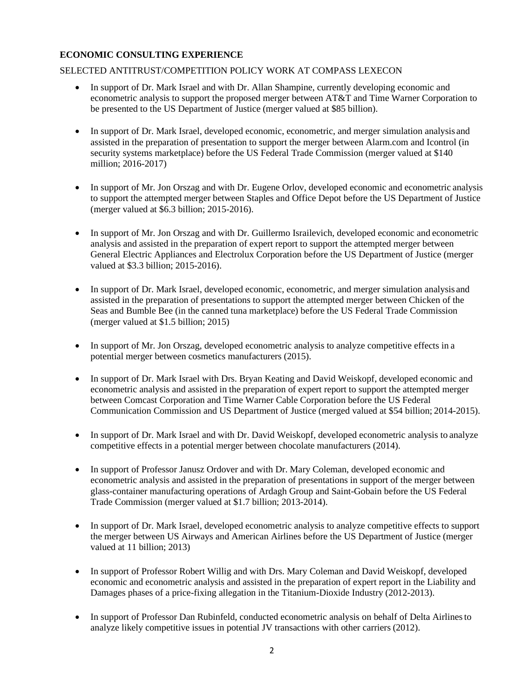# **ECONOMIC CONSULTING EXPERIENCE**

## SELECTED ANTITRUST/COMPETITION POLICY WORK AT COMPASS LEXECON

- In support of Dr. Mark Israel and with Dr. Allan Shampine, currently developing economic and econometric analysis to support the proposed merger between AT&T and Time Warner Corporation to be presented to the US Department of Justice (merger valued at \$85 billion).
- In support of Dr. Mark Israel, developed economic, econometric, and merger simulation analysis and assisted in the preparation of presentation to support the merger between Alarm.com and Icontrol (in security systems marketplace) before the US Federal Trade Commission (merger valued at \$140 million; 2016-2017)
- In support of Mr. Jon Orszag and with Dr. Eugene Orlov, developed economic and econometric analysis to support the attempted merger between Staples and Office Depot before the US Department of Justice (merger valued at \$6.3 billion; 2015-2016).
- In support of Mr. Jon Orszag and with Dr. Guillermo Israilevich, developed economic and econometric analysis and assisted in the preparation of expert report to support the attempted merger between General Electric Appliances and Electrolux Corporation before the US Department of Justice (merger valued at \$3.3 billion; 2015-2016).
- In support of Dr. Mark Israel, developed economic, econometric, and merger simulation analysis and assisted in the preparation of presentations to support the attempted merger between Chicken of the Seas and Bumble Bee (in the canned tuna marketplace) before the US Federal Trade Commission (merger valued at \$1.5 billion; 2015)
- In support of Mr. Jon Orszag, developed econometric analysis to analyze competitive effects in a potential merger between cosmetics manufacturers (2015).
- In support of Dr. Mark Israel with Drs. Bryan Keating and David Weiskopf, developed economic and econometric analysis and assisted in the preparation of expert report to support the attempted merger between Comcast Corporation and Time Warner Cable Corporation before the US Federal Communication Commission and US Department of Justice (merged valued at \$54 billion; 2014-2015).
- In support of Dr. Mark Israel and with Dr. David Weiskopf, developed econometric analysis to analyze competitive effects in a potential merger between chocolate manufacturers (2014).
- In support of Professor Janusz Ordover and with Dr. Mary Coleman, developed economic and econometric analysis and assisted in the preparation of presentations in support of the merger between glass-container manufacturing operations of Ardagh Group and Saint-Gobain before the US Federal Trade Commission (merger valued at \$1.7 billion; 2013-2014).
- In support of Dr. Mark Israel, developed econometric analysis to analyze competitive effects to support the merger between US Airways and American Airlines before the US Department of Justice (merger valued at 11 billion; 2013)
- In support of Professor Robert Willig and with Drs. Mary Coleman and David Weiskopf, developed economic and econometric analysis and assisted in the preparation of expert report in the Liability and Damages phases of a price-fixing allegation in the Titanium-Dioxide Industry (2012-2013).
- In support of Professor Dan Rubinfeld, conducted econometric analysis on behalf of Delta Airlinesto analyze likely competitive issues in potential JV transactions with other carriers (2012).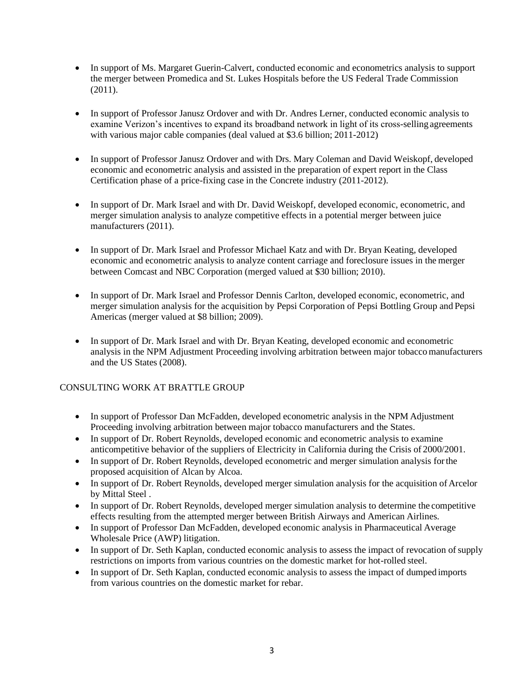- In support of Ms. Margaret Guerin-Calvert, conducted economic and econometrics analysis to support the merger between Promedica and St. Lukes Hospitals before the US Federal Trade Commission (2011).
- In support of Professor Janusz Ordover and with Dr. Andres Lerner, conducted economic analysis to examine Verizon's incentives to expand its broadband network in light of its cross-selling agreements with various major cable companies (deal valued at \$3.6 billion; 2011-2012)
- In support of Professor Janusz Ordover and with Drs. Mary Coleman and David Weiskopf, developed economic and econometric analysis and assisted in the preparation of expert report in the Class Certification phase of a price-fixing case in the Concrete industry (2011-2012).
- In support of Dr. Mark Israel and with Dr. David Weiskopf, developed economic, econometric, and merger simulation analysis to analyze competitive effects in a potential merger between juice manufacturers (2011).
- In support of Dr. Mark Israel and Professor Michael Katz and with Dr. Bryan Keating, developed economic and econometric analysis to analyze content carriage and foreclosure issues in the merger between Comcast and NBC Corporation (merged valued at \$30 billion; 2010).
- In support of Dr. Mark Israel and Professor Dennis Carlton, developed economic, econometric, and merger simulation analysis for the acquisition by Pepsi Corporation of Pepsi Bottling Group and Pepsi Americas (merger valued at \$8 billion; 2009).
- In support of Dr. Mark Israel and with Dr. Bryan Keating, developed economic and econometric analysis in the NPM Adjustment Proceeding involving arbitration between major tobaccomanufacturers and the US States (2008).

## CONSULTING WORK AT BRATTLE GROUP

- In support of Professor Dan McFadden, developed econometric analysis in the NPM Adjustment Proceeding involving arbitration between major tobacco manufacturers and the States.
- In support of Dr. Robert Reynolds, developed economic and econometric analysis to examine anticompetitive behavior of the suppliers of Electricity in California during the Crisis of 2000/2001.
- In support of Dr. Robert Reynolds, developed econometric and merger simulation analysis for the proposed acquisition of Alcan by Alcoa.
- In support of Dr. Robert Reynolds, developed merger simulation analysis for the acquisition of Arcelor by Mittal Steel .
- In support of Dr. Robert Reynolds, developed merger simulation analysis to determine the competitive effects resulting from the attempted merger between British Airways and American Airlines.
- In support of Professor Dan McFadden, developed economic analysis in Pharmaceutical Average Wholesale Price (AWP) litigation.
- In support of Dr. Seth Kaplan, conducted economic analysis to assess the impact of revocation of supply restrictions on imports from various countries on the domestic market for hot-rolled steel.
- In support of Dr. Seth Kaplan, conducted economic analysis to assess the impact of dumped imports from various countries on the domestic market for rebar.